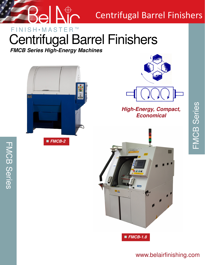

# Centrifugal Barrel Finishers

# $FINISH{\bullet}MASTER^{m}$ Centrifugal Barrel Finishers

*FMCB Series High-Energy Machines*



FMCB Series

**FMCB Series** 





## *High-Energy, Compact, Economical*



## www.belairfinishing.com